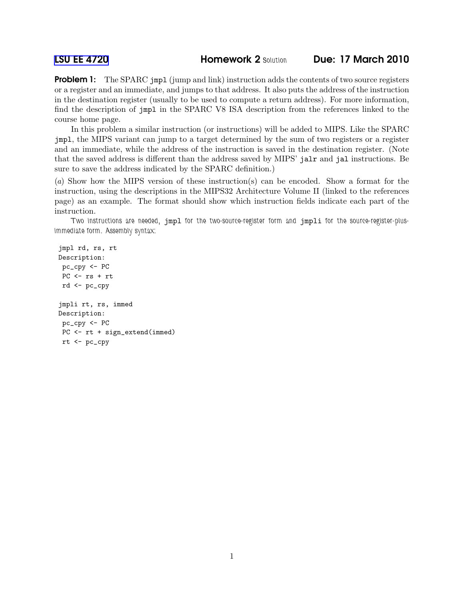**Problem 1:** The SPARC jmpl (jump and link) instruction adds the contents of two source registers or a register and an immediate, and jumps to that address. It also puts the address of the instruction in the destination register (usually to be used to compute a return address). For more information, find the description of jmpl in the SPARC V8 ISA description from the references linked to the course home page.

In this problem a similar instruction (or instructions) will be added to MIPS. Like the SPARC jmpl, the MIPS variant can jump to a target determined by the sum of two registers or a register and an immediate, while the address of the instruction is saved in the destination register. (Note that the saved address is different than the address saved by MIPS' jalr and jal instructions. Be sure to save the address indicated by the SPARC definition.)

(a) Show how the MIPS version of these instruction(s) can be encoded. Show a format for the instruction, using the descriptions in the MIPS32 Architecture Volume II (linked to the references page) as an example. The format should show which instruction fields indicate each part of the instruction.

Two instructions are needed, jmpl for the two-source-register form and jmpli for the source-register-plusimmediate form. Assembly syntax:

jmpl rd, rs, rt Description: pc\_cpy <- PC  $PC$   $< rs$   $+$   $rt$ rd <- pc\_cpy jmpli rt, rs, immed Description: pc\_cpy <- PC PC <- rt + sign\_extend(immed) rt <- pc\_cpy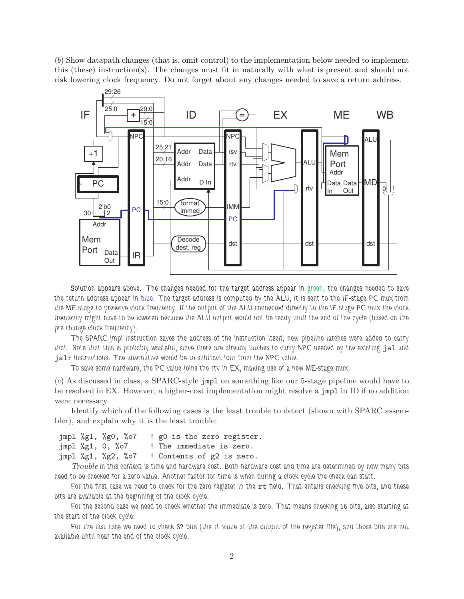(b) Show datapath changes (that is, omit control) to the implementation below needed to implement this (these) instruction(s). The changes must fit in naturally with what is present and should not risk lowering clock frequency. Do not forget about any changes needed to save a return address.



Solution appears above. The changes needed for the target address appear in green, the changes needed to save the return address appear in blue. The target address is computed by the ALU, it is sent to the IF-stage PC mux from the ME stage to preserve clock frequency. If the output of the ALU connected directly to the IF-stage PC mux the clock frequency might have to be lowered because the ALU output would not be ready until the end of the cycle (based on the pre-change clock frequency).

The SPARC jmpl instruction saves the address of the instruction itself, new pipeline latches were added to carry that. Note that this is probably wasteful, since there are already latches to carry NPC needed by the existing jal and jalr instructions. The alternative would be to subtract four from the NPC value.

To save some hardware, the PC value joins the rtv in EX, making use of a new ME-stage mux.

(c) As discussed in class, a SPARC-style jmpl on something like our 5-stage pipeline would have to be resolved in EX. However, a higher-cost implementation might resolve a jmpl in ID if no addition were necessary.

Identify which of the following cases is the least trouble to detect (shown with SPARC assembler), and explain why it is the least trouble:

jmpl %g1, %g0, %o7 ! g0 is the zero register. jmpl %g1, 0, %o7 ! The immediate is zero. jmpl %g1, %g2, %o7 ! Contents of g2 is zero.

Trouble in this context is time and hardware cost. Both hardware cost and time are determined by how many bits need to be checked for a zero value. Another factor for time is when during a clock cycle the check can start.

For the first case we need to check for the zero register in the rt field. That entails checking five bits, and these bits are available at the beginning of the clock cycle.

For the second case we need to check whether the immediate is zero. That means checking 16 bits, also starting at the start of the clock cycle.

For the last case we need to check 32 bits (the rt value at the output of the register file), and those bits are not available until near the end of the clock cycle.